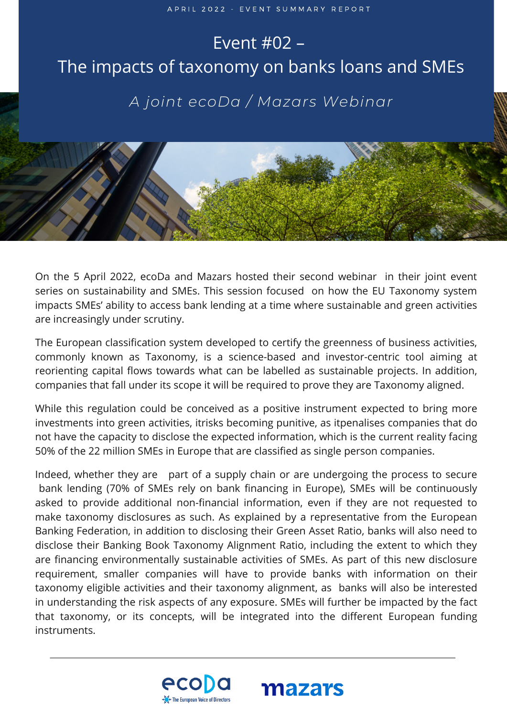## D E C E M B E R 2 0 2 2 2 Event #02 – The impacts of taxonomy on banks loans and SMEs *A joint ecoDa / Mazars Webinar*

On the 5 April 2022, ecoDa and Mazars hosted their second webinar in their joint event series on sustainability and SMEs. This session focused on how the EU Taxonomy system impacts SMEs' ability to access bank lending at a time where sustainable and green activities are increasingly under scrutiny.

The European classification system developed to certify the greenness of business activities, commonly known as Taxonomy, is a science-based and investor-centric tool aiming at reorienting capital flows towards what can be labelled as sustainable projects. In addition, companies that fall under its scope it will be required to prove they are Taxonomy aligned.

While this regulation could be conceived as a positive instrument expected to bring more investments into green activities, itrisks becoming punitive, as itpenalises companies that do not have the capacity to disclose the expected information, which is the current reality facing 50% of the 22 million SMEs in Europe that are classified as single person companies.

Indeed, whether they are part of a supply chain or are undergoing the process to secure bank lending (70% of SMEs rely on bank financing in Europe), SMEs will be continuously asked to provide additional non-financial information, even if they are not requested to make taxonomy disclosures as such. As explained by a representative from the European Banking Federation, in addition to disclosing their Green Asset Ratio, banks will also need to disclose their Banking Book Taxonomy Alignment Ratio, including the extent to which they are financing environmentally sustainable activities of SMEs. As part of this new disclosure requirement, smaller companies will have to provide banks with information on their taxonomy eligible activities and their taxonomy alignment, as banks will also be interested in understanding the risk aspects of any exposure. SMEs will further be impacted by the fact that taxonomy, or its concepts, will be integrated into the different European funding instruments.



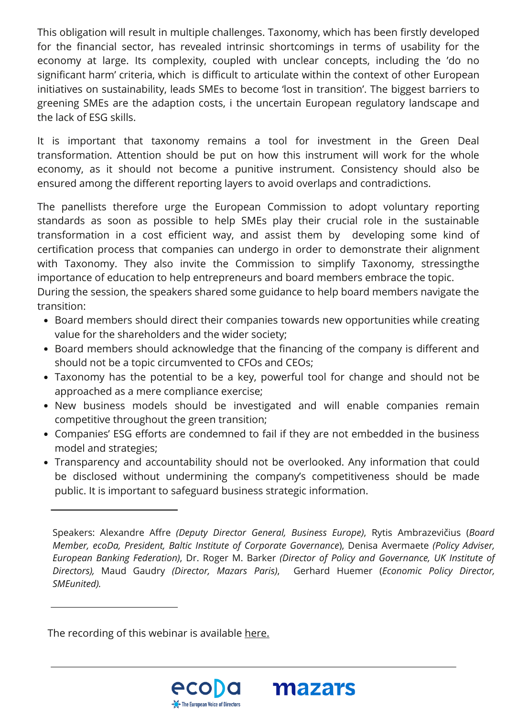This obligation will result in multiple challenges. Taxonomy, which has been firstly developed for the financial sector, has revealed intrinsic shortcomings in terms of usability for the economy at large. Its complexity, coupled with unclear concepts, including the 'do no significant harm' criteria, which is difficult to articulate within the context of other European initiatives on sustainability, leads SMEs to become 'lost in transition'. The biggest barriers to greening SMEs are the adaption costs, i the uncertain European regulatory landscape and the lack of ESG skills.

It is important that taxonomy remains a tool for investment in the Green Deal transformation. Attention should be put on how this instrument will work for the whole economy, as it should not become a punitive instrument. Consistency should also be ensured among the different reporting layers to avoid overlaps and contradictions.

The panellists therefore urge the European Commission to adopt voluntary reporting standards as soon as possible to help SMEs play their crucial role in the sustainable transformation in a cost efficient way, and assist them by developing some kind of certification process that companies can undergo in order to demonstrate their alignment with Taxonomy. They also invite the Commission to simplify Taxonomy, stressingthe importance of education to help entrepreneurs and board members embrace the topic.

During the session, the speakers shared some guidance to help board members navigate the transition:

- Board members should direct their companies towards new opportunities while creating value for the shareholders and the wider society;
- Board members should acknowledge that the financing of the company is different and should not be a topic circumvented to CFOs and CEOs;
- Taxonomy has the potential to be a key, powerful tool for change and should not be approached as a mere compliance exercise;
- New business models should be investigated and will enable companies remain competitive throughout the green transition;
- Companies' ESG efforts are condemned to fail if they are not embedded in the business model and strategies;
- Transparency and accountability should not be overlooked. Any information that could be disclosed without undermining the company's competitiveness should be made public. It is important to safeguard business strategic information.

The recording of this webinar is available [here.](https://www.youtube.com/watch?v=3FRgP2FE9Rs)





Speakers: Alexandre Affre *(Deputy Director General, Business Europe)*, Rytis Ambrazevičius (*Board Member, ecoDa, President, Baltic Institute of Corporate Governance*), Denisa Avermaete *(Policy Adviser, European Banking Federation)*, Dr. Roger M. Barker *(Director of Policy and Governance, UK Institute of Directors),* Maud Gaudry *(Director, Mazars Paris)*, Gerhard Huemer (*Economic Policy Director, SMEunited).*